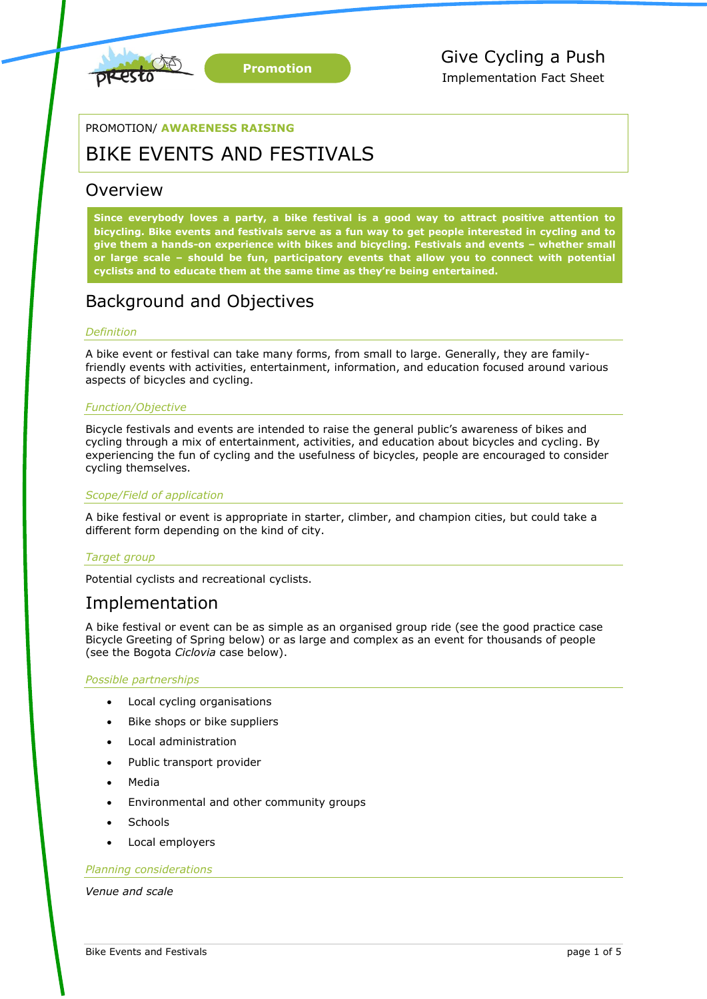

### PROMOTION/ **AWARENESS RAISING**

## BIKE EVENTS AND FESTIVALS

### Overview

**Since everybody loves a party, a bike festival is a good way to attract positive attention to bicycling. Bike events and festivals serve as a fun way to get people interested in cycling and to give them a hands-on experience with bikes and bicycling. Festivals and events – whether small or large scale – should be fun, participatory events that allow you to connect with potential cyclists and to educate them at the same time as they're being entertained.**

## Background and Objectives

### *Definition*

A bike event or festival can take many forms, from small to large. Generally, they are familyfriendly events with activities, entertainment, information, and education focused around various aspects of bicycles and cycling.

### *Function/Objective*

Bicycle festivals and events are intended to raise the general public's awareness of bikes and cycling through a mix of entertainment, activities, and education about bicycles and cycling. By experiencing the fun of cycling and the usefulness of bicycles, people are encouraged to consider cycling themselves.

### *Scope/Field of application*

A bike festival or event is appropriate in starter, climber, and champion cities, but could take a different form depending on the kind of city.

### *Target group*

Potential cyclists and recreational cyclists.

### Implementation

A bike festival or event can be as simple as an organised group ride (see the good practice case Bicycle Greeting of Spring below) or as large and complex as an event for thousands of people (see the Bogota *Ciclovia* case below).

### *Possible partnerships*

- Local cycling organisations
- Bike shops or bike suppliers
- Local administration
- Public transport provider
- Media
- Environmental and other community groups
- **Schools**
- Local employers

#### *Planning considerations*

*Venue and scale*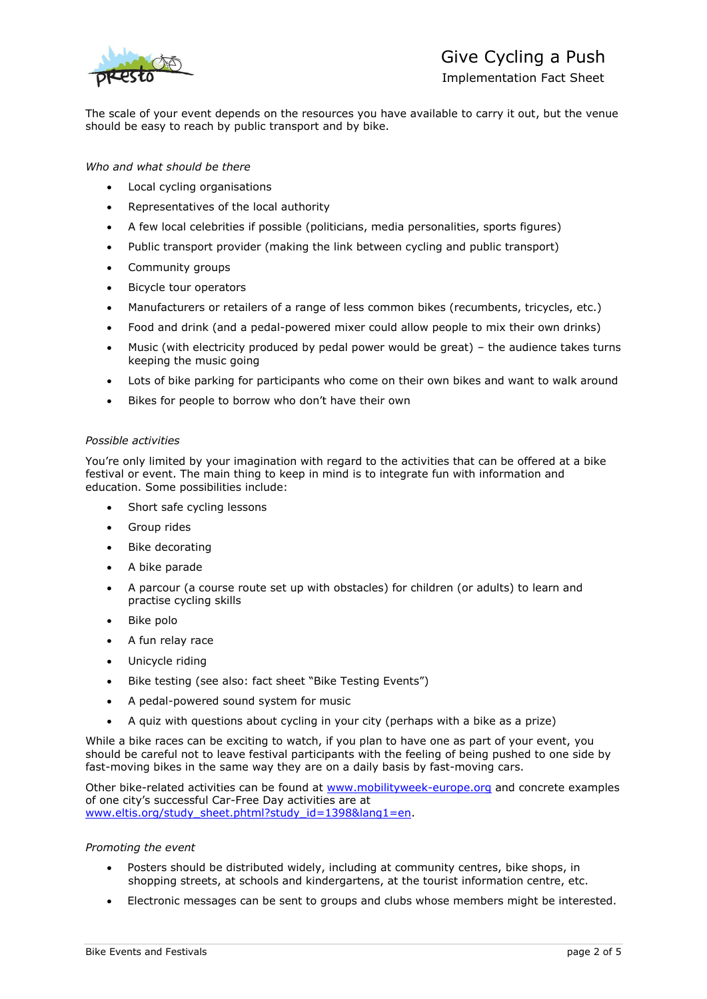

## Give Cycling a Push

Implementation Fact Sheet

The scale of your event depends on the resources you have available to carry it out, but the venue should be easy to reach by public transport and by bike.

*Who and what should be there*

- Local cycling organisations
- Representatives of the local authority
- A few local celebrities if possible (politicians, media personalities, sports figures)
- Public transport provider (making the link between cycling and public transport)
- Community groups
- Bicycle tour operators
- Manufacturers or retailers of a range of less common bikes (recumbents, tricycles, etc.)
- Food and drink (and a pedal-powered mixer could allow people to mix their own drinks)
- Music (with electricity produced by pedal power would be great) the audience takes turns keeping the music going
- Lots of bike parking for participants who come on their own bikes and want to walk around
- Bikes for people to borrow who don't have their own

### *Possible activities*

You're only limited by your imagination with regard to the activities that can be offered at a bike festival or event. The main thing to keep in mind is to integrate fun with information and education. Some possibilities include:

- Short safe cycling lessons
- Group rides
- Bike decorating
- A bike parade
- A parcour (a course route set up with obstacles) for children (or adults) to learn and practise cycling skills
- Bike polo
- A fun relay race
- Unicycle riding
- Bike testing (see also: fact sheet "Bike Testing Events")
- A pedal-powered sound system for music
- A quiz with questions about cycling in your city (perhaps with a bike as a prize)

While a bike races can be exciting to watch, if you plan to have one as part of your event, you should be careful not to leave festival participants with the feeling of being pushed to one side by fast-moving bikes in the same way they are on a daily basis by fast-moving cars.

Other bike-related activities can be found at [www.mobilityweek-europe.org](http://www.mobilityweek-europe.org/) and concrete examples of one city's successful Car-Free Day activities are at [www.eltis.org/study\\_sheet.phtml?study\\_id=1398&lang1=en.](http://www.eltis.org/study_sheet.phtml?study_id=1398&lang1=en)

### *Promoting the event*

- Posters should be distributed widely, including at community centres, bike shops, in shopping streets, at schools and kindergartens, at the tourist information centre, etc.
- Electronic messages can be sent to groups and clubs whose members might be interested.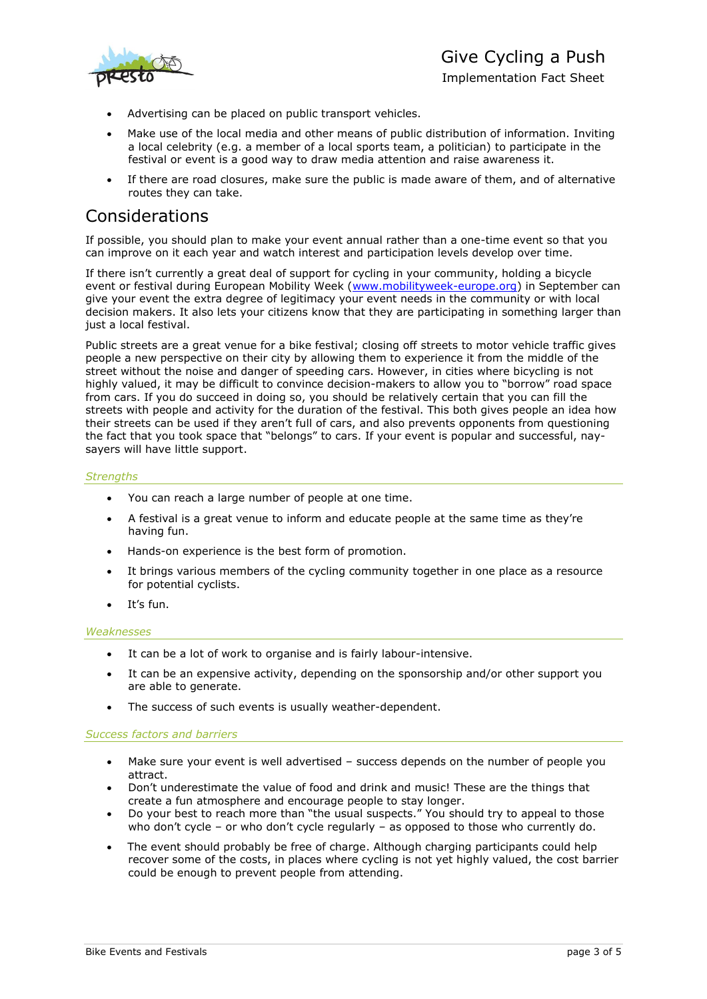

Implementation Fact Sheet

- Advertising can be placed on public transport vehicles.
- Make use of the local media and other means of public distribution of information. Inviting a local celebrity (e.g. a member of a local sports team, a politician) to participate in the festival or event is a good way to draw media attention and raise awareness it.
- If there are road closures, make sure the public is made aware of them, and of alternative routes they can take.

### Considerations

If possible, you should plan to make your event annual rather than a one-time event so that you can improve on it each year and watch interest and participation levels develop over time.

If there isn't currently a great deal of support for cycling in your community, holding a bicycle event or festival during European Mobility Week [\(www.mobilityweek-europe.org\)](http://www.mobilityweek-europe.org/) in September can give your event the extra degree of legitimacy your event needs in the community or with local decision makers. It also lets your citizens know that they are participating in something larger than just a local festival.

Public streets are a great venue for a bike festival; closing off streets to motor vehicle traffic gives people a new perspective on their city by allowing them to experience it from the middle of the street without the noise and danger of speeding cars. However, in cities where bicycling is not highly valued, it may be difficult to convince decision-makers to allow you to "borrow" road space from cars. If you do succeed in doing so, you should be relatively certain that you can fill the streets with people and activity for the duration of the festival. This both gives people an idea how their streets can be used if they aren't full of cars, and also prevents opponents from questioning the fact that you took space that "belongs" to cars. If your event is popular and successful, naysayers will have little support.

### *Strengths*

- You can reach a large number of people at one time.
- A festival is a great venue to inform and educate people at the same time as they're having fun.
- Hands-on experience is the best form of promotion.
- It brings various members of the cycling community together in one place as a resource for potential cyclists.
- It's fun.

### *Weaknesses*

- It can be a lot of work to organise and is fairly labour-intensive.
- It can be an expensive activity, depending on the sponsorship and/or other support you are able to generate.
- The success of such events is usually weather-dependent.

### *Success factors and barriers*

- Make sure your event is well advertised success depends on the number of people you attract.
- Don't underestimate the value of food and drink and music! These are the things that create a fun atmosphere and encourage people to stay longer.
- Do your best to reach more than "the usual suspects." You should try to appeal to those who don't cycle – or who don't cycle regularly – as opposed to those who currently do.
- The event should probably be free of charge. Although charging participants could help recover some of the costs, in places where cycling is not yet highly valued, the cost barrier could be enough to prevent people from attending.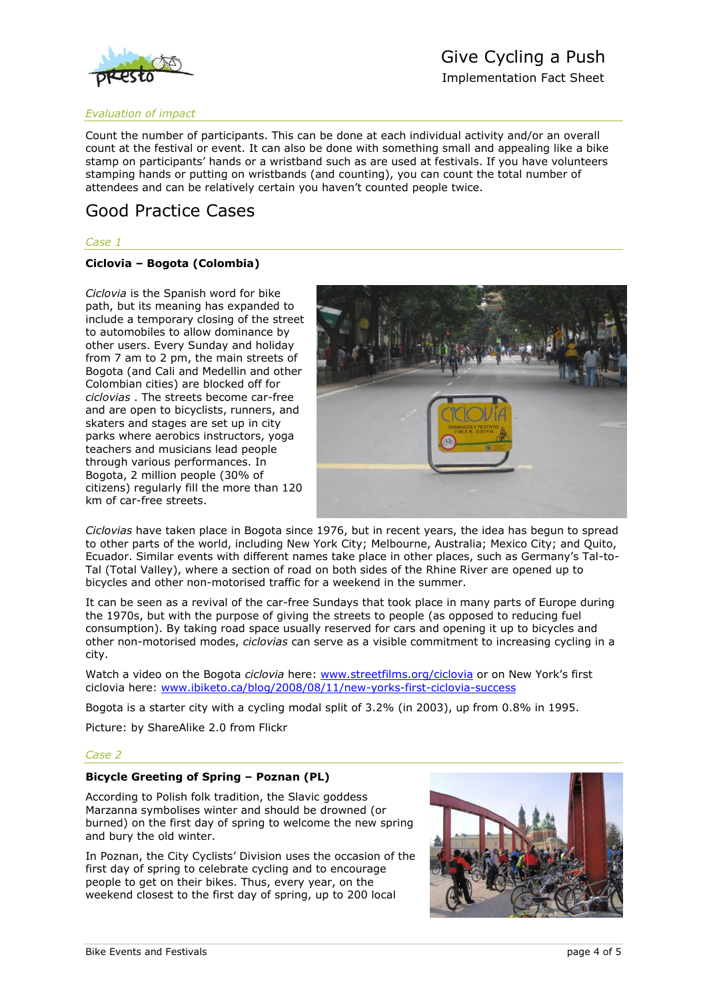

# Give Cycling a Push

Implementation Fact Sheet

### *Evaluation of impact*

Count the number of participants. This can be done at each individual activity and/or an overall count at the festival or event. It can also be done with something small and appealing like a bike stamp on participants' hands or a wristband such as are used at festivals. If you have volunteers stamping hands or putting on wristbands (and counting), you can count the total number of attendees and can be relatively certain you haven't counted people twice.

## Good Practice Cases

### *Case 1*

### **Ciclovia – Bogota (Colombia)**

*Ciclovia* is the Spanish word for bike path, but its meaning has expanded to include a temporary closing of the street to automobiles to allow dominance by other users. Every Sunday and holiday from 7 am to 2 pm, the main streets of Bogota (and Cali and Medellin and other Colombian cities) are blocked off for *ciclovias* . The streets become car-free and are open to bicyclists, runners, and skaters and stages are set up in city parks where aerobics instructors, yoga teachers and musicians lead people through various performances. In Bogota, 2 million people (30% of citizens) regularly fill the more than 120 km of car-free streets.



*Ciclovias* have taken place in Bogota since 1976, but in recent years, the idea has begun to spread to other parts of the world, including New York City; Melbourne, Australia; Mexico City; and Quito, Ecuador. Similar events with different names take place in other places, such as Germany's Tal-to-Tal (Total Valley), where a section of road on both sides of the Rhine River are opened up to bicycles and other non-motorised traffic for a weekend in the summer.

It can be seen as a revival of the car-free Sundays that took place in many parts of Europe during the 1970s, but with the purpose of giving the streets to people (as opposed to reducing fuel consumption). By taking road space usually reserved for cars and opening it up to bicycles and other non-motorised modes, *ciclovias* can serve as a visible commitment to increasing cycling in a city.

Watch a video on the Bogota *ciclovia* here: [www.streetfilms.org/ciclovia](http://www.streetfilms.org/ciclovia) or on New York's first ciclovia here: [www.ibiketo.ca/blog/2008/08/11/new-yorks-first-ciclovia-success](http://www.ibiketo.ca/blog/2008/08/11/new-yorks-first-ciclovia-success)

Bogota is a starter city with a cycling modal split of 3.2% (in 2003), up from 0.8% in 1995.

Picture: by ShareAlike 2.0 from Flickr

### *Case 2*

### **Bicycle Greeting of Spring – Poznan (PL)**

According to Polish folk tradition, the Slavic goddess Marzanna symbolises winter and should be drowned (or burned) on the first day of spring to welcome the new spring and bury the old winter.

In Poznan, the City Cyclists' Division uses the occasion of the first day of spring to celebrate cycling and to encourage people to get on their bikes. Thus, every year, on the weekend closest to the first day of spring, up to 200 local